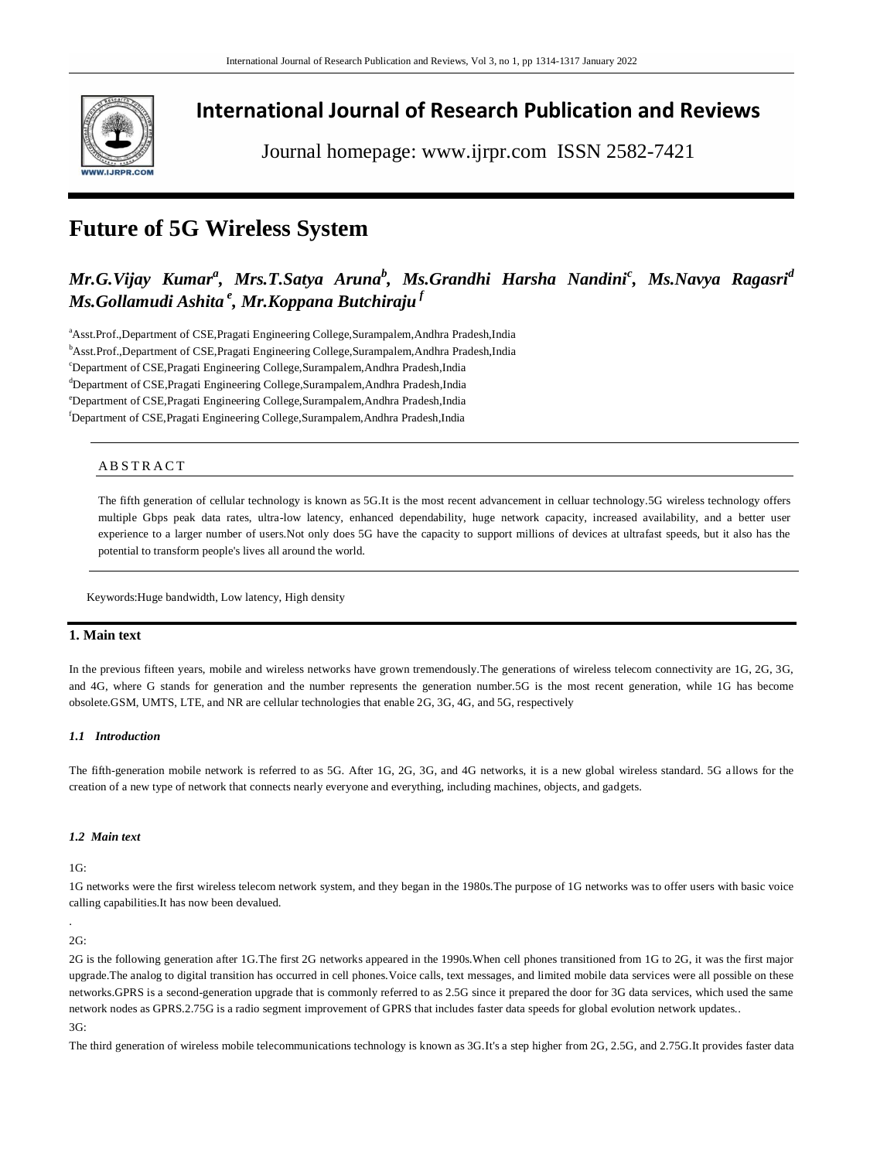

## **International Journal of Research Publication and Reviews**

Journal homepage: www.ijrpr.com ISSN 2582-7421

# **Future of 5G Wireless System**

## *Mr.G.Vijay Kumar<sup>a</sup> , Mrs.T.Satya Aruna<sup>b</sup> , Ms.Grandhi Harsha Nandini<sup>c</sup> , Ms.Navya Ragasri<sup>d</sup> Ms.Gollamudi Ashita <sup>e</sup> , Mr.Koppana Butchiraju <sup>f</sup>*

aAsst.Prof.,Department of CSE,Pragati Engineering College,Surampalem,Andhra Pradesh,India <sup>b</sup>Asst.Prof.,Department of CSE,Pragati Engineering College,Surampalem,Andhra Pradesh,India <sup>c</sup>Department of CSE,Pragati Engineering College,Surampalem,Andhra Pradesh,India <sup>d</sup>Department of CSE, Pragati Engineering College, Surampalem, Andhra Pradesh, India <sup>e</sup>Department of CSE,Pragati Engineering College,Surampalem,Andhra Pradesh,India <sup>f</sup>Department of CSE,Pragati Engineering College,Surampalem,Andhra Pradesh,India

## A B S T R A C T

The fifth generation of cellular technology is known as 5G.It is the most recent advancement in celluar technology.5G wireless technology offers multiple Gbps peak data rates, ultra-low latency, enhanced dependability, huge network capacity, increased availability, and a better user experience to a larger number of users.Not only does 5G have the capacity to support millions of devices at ultrafast speeds, but it also has the potential to transform people's lives all around the world.

Keywords:Huge bandwidth, Low latency, High density

## **1. Main text**

In the previous fifteen years, mobile and wireless networks have grown tremendously.The generations of wireless telecom connectivity are 1G, 2G, 3G, and 4G, where G stands for generation and the number represents the generation number.5G is the most recent generation, while 1G has become obsolete.GSM, UMTS, LTE, and NR are cellular technologies that enable 2G, 3G, 4G, and 5G, respectively

#### *1.1 Introduction*

The fifth-generation mobile network is referred to as 5G. After 1G, 2G, 3G, and 4G networks, it is a new global wireless standard. 5G a llows for the creation of a new type of network that connects nearly everyone and everything, including machines, objects, and gadgets.

### *1.2 Main text*

1G:

1G networks were the first wireless telecom network system, and they began in the 1980s.The purpose of 1G networks was to offer users with basic voice calling capabilities.It has now been devalued.

### . 2G:

2G is the following generation after 1G.The first 2G networks appeared in the 1990s.When cell phones transitioned from 1G to 2G, it was the first major upgrade.The analog to digital transition has occurred in cell phones.Voice calls, text messages, and limited mobile data services were all possible on these networks.GPRS is a second-generation upgrade that is commonly referred to as 2.5G since it prepared the door for 3G data services, which used the same network nodes as GPRS.2.75G is a radio segment improvement of GPRS that includes faster data speeds for global evolution network updates.. 3G:

The third generation of wireless mobile telecommunications technology is known as 3G.It's a step higher from 2G, 2.5G, and 2.75G.It provides faster data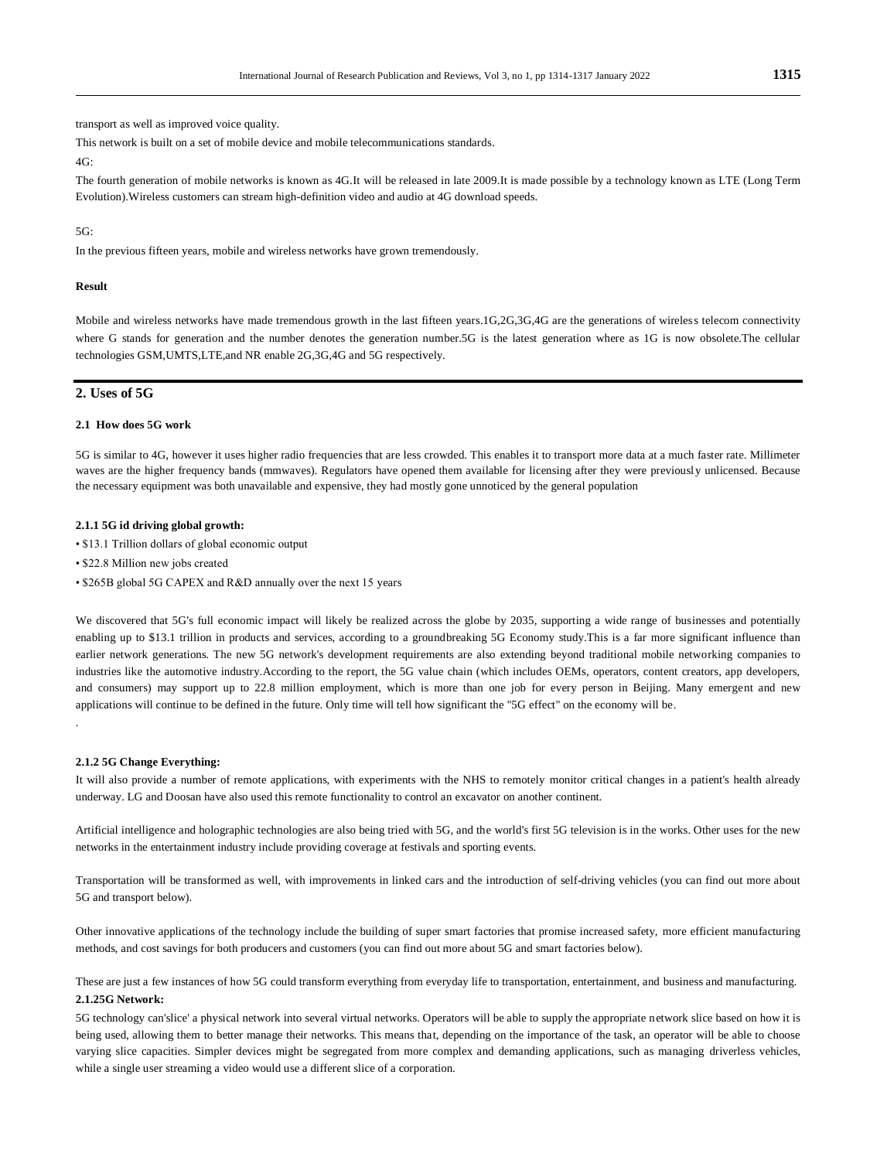transport as well as improved voice quality.

This network is built on a set of mobile device and mobile telecommunications standards.

 $4G<sup>2</sup>$ 

The fourth generation of mobile networks is known as 4G.It will be released in late 2009.It is made possible by a technology known as LTE (Long Term Evolution).Wireless customers can stream high-definition video and audio at 4G download speeds.

#### 5G:

In the previous fifteen years, mobile and wireless networks have grown tremendously.

#### **Result**

Mobile and wireless networks have made tremendous growth in the last fifteen years.1G,2G,3G,4G are the generations of wireless telecom connectivity where G stands for generation and the number denotes the generation number.5G is the latest generation where as 1G is now obsolete.The cellular technologies GSM,UMTS,LTE,and NR enable 2G,3G,4G and 5G respectively.

## **2. Uses of 5G**

#### **2.1 How does 5G work**

5G is similar to 4G, however it uses higher radio frequencies that are less crowded. This enables it to transport more data at a much faster rate. Millimeter waves are the higher frequency bands (mmwaves). Regulators have opened them available for licensing after they were previously unlicensed. Because the necessary equipment was both unavailable and expensive, they had mostly gone unnoticed by the general population

#### **2.1.1 5G id driving global growth:**

- \$13.1 Trillion dollars of global economic output
- \$22.8 Million new jobs created
- \$265B global 5G CAPEX and R&D annually over the next 15 years

We discovered that 5G's full economic impact will likely be realized across the globe by 2035, supporting a wide range of businesses and potentially enabling up to \$13.1 trillion in products and services, according to a groundbreaking 5G Economy study.This is a far more significant influence than earlier network generations. The new 5G network's development requirements are also extending beyond traditional mobile networking companies to industries like the automotive industry.According to the report, the 5G value chain (which includes OEMs, operators, content creators, app developers, and consumers) may support up to 22.8 million employment, which is more than one job for every person in Beijing. Many emergent and new applications will continue to be defined in the future. Only time will tell how significant the "5G effect" on the economy will be.

#### **2.1.2 5G Change Everything:**

.

It will also provide a number of remote applications, with experiments with the NHS to remotely monitor critical changes in a patient's health already underway. LG and Doosan have also used this remote functionality to control an excavator on another continent.

Artificial intelligence and holographic technologies are also being tried with 5G, and the world's first 5G television is in the works. Other uses for the new networks in the entertainment industry include providing coverage at festivals and sporting events.

Transportation will be transformed as well, with improvements in linked cars and the introduction of self-driving vehicles (you can find out more about 5G and transport below).

Other innovative applications of the technology include the building of super smart factories that promise increased safety, more efficient manufacturing methods, and cost savings for both producers and customers (you can find out more about 5G and smart factories below).

These are just a few instances of how 5G could transform everything from everyday life to transportation, entertainment, and business and manufacturing. **2.1.25G Network:**

5G technology can'slice' a physical network into several virtual networks. Operators will be able to supply the appropriate network slice based on how it is being used, allowing them to better manage their networks. This means that, depending on the importance of the task, an operator will be able to choose varying slice capacities. Simpler devices might be segregated from more complex and demanding applications, such as managing driverless vehicles, while a single user streaming a video would use a different slice of a corporation.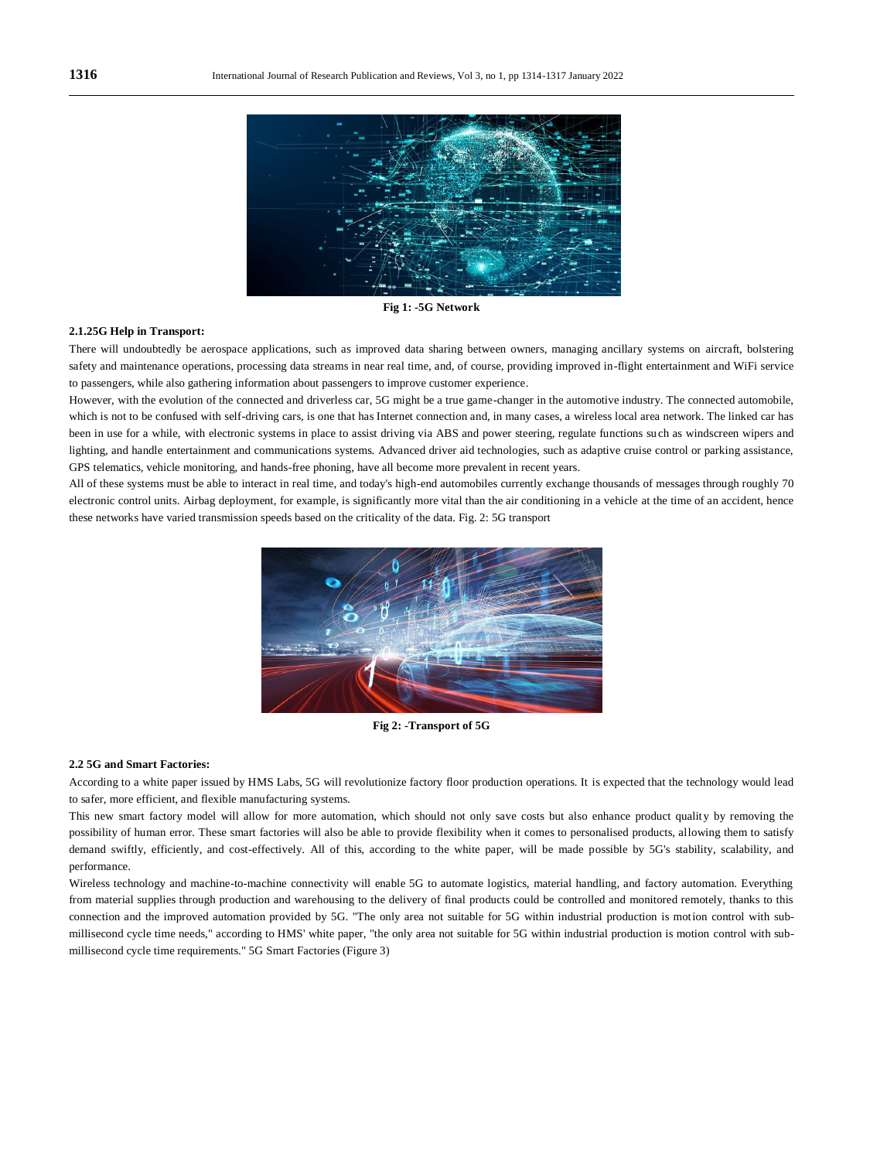

**Fig 1: -5G Network**

#### **2.1.25G Help in Transport:**

There will undoubtedly be aerospace applications, such as improved data sharing between owners, managing ancillary systems on aircraft, bolstering safety and maintenance operations, processing data streams in near real time, and, of course, providing improved in-flight entertainment and WiFi service to passengers, while also gathering information about passengers to improve customer experience.

However, with the evolution of the connected and driverless car, 5G might be a true game-changer in the automotive industry. The connected automobile, which is not to be confused with self-driving cars, is one that has Internet connection and, in many cases, a wireless local area network. The linked car has been in use for a while, with electronic systems in place to assist driving via ABS and power steering, regulate functions su ch as windscreen wipers and lighting, and handle entertainment and communications systems. Advanced driver aid technologies, such as adaptive cruise control or parking assistance, GPS telematics, vehicle monitoring, and hands-free phoning, have all become more prevalent in recent years.

All of these systems must be able to interact in real time, and today's high-end automobiles currently exchange thousands of messages through roughly 70 electronic control units. Airbag deployment, for example, is significantly more vital than the air conditioning in a vehicle at the time of an accident, hence these networks have varied transmission speeds based on the criticality of the data. Fig. 2: 5G transport



**Fig 2: -Transport of 5G**

#### **2.2 5G and Smart Factories:**

According to a white paper issued by HMS Labs, 5G will revolutionize factory floor production operations. It is expected that the technology would lead to safer, more efficient, and flexible manufacturing systems.

This new smart factory model will allow for more automation, which should not only save costs but also enhance product quality by removing the possibility of human error. These smart factories will also be able to provide flexibility when it comes to personalised products, allowing them to satisfy demand swiftly, efficiently, and cost-effectively. All of this, according to the white paper, will be made possible by 5G's stability, scalability, and performance.

Wireless technology and machine-to-machine connectivity will enable 5G to automate logistics, material handling, and factory automation. Everything from material supplies through production and warehousing to the delivery of final products could be controlled and monitored remotely, thanks to this connection and the improved automation provided by 5G. "The only area not suitable for 5G within industrial production is motion control with submillisecond cycle time needs," according to HMS' white paper, "the only area not suitable for 5G within industrial production is motion control with submillisecond cycle time requirements." 5G Smart Factories (Figure 3)